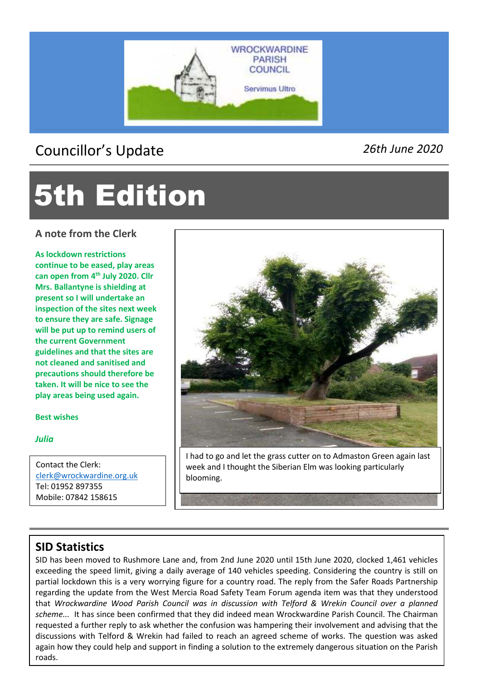

## Councillor's Update *26th June 2020*

# 5th Edition

**A note from the Clerk** 

**As lockdown restrictions continue to be eased, play areas can open from 4th July 2020. Cllr Mrs. Ballantyne is shielding at present so I will undertake an inspection of the sites next week to ensure they are safe. Signage will be put up to remind users of the current Government guidelines and that the sites are not cleaned and sanitised and precautions should therefore be taken. It will be nice to see the play areas being used again.** 

**Best wishes** 

*Julia*

l

Contact the Clerk: clerk@wrockwardine.org.uk Tel: 01952 897355 Mobile: 07842 158615



I had to go and let the grass cutter on to Admaston Green again last week and I thought the Siberian Elm was looking particularly blooming.

### **SID Statistics**

SID has been moved to Rushmore Lane and, from 2nd June 2020 until 15th June 2020, clocked 1,461 vehicles exceeding the speed limit, giving a daily average of 140 vehicles speeding. Considering the country is still on partial lockdown this is a very worrying figure for a country road. The reply from the Safer Roads Partnership regarding the update from the West Mercia Road Safety Team Forum agenda item was that they understood that *Wrockwardine Wood Parish Council was in discussion with Telford & Wrekin Council over a planned scheme...* It has since been confirmed that they did indeed mean Wrockwardine Parish Council. The Chairman requested a further reply to ask whether the confusion was hampering their involvement and advising that the discussions with Telford & Wrekin had failed to reach an agreed scheme of works. The question was asked again how they could help and support in finding a solution to the extremely dangerous situation on the Parish roads.